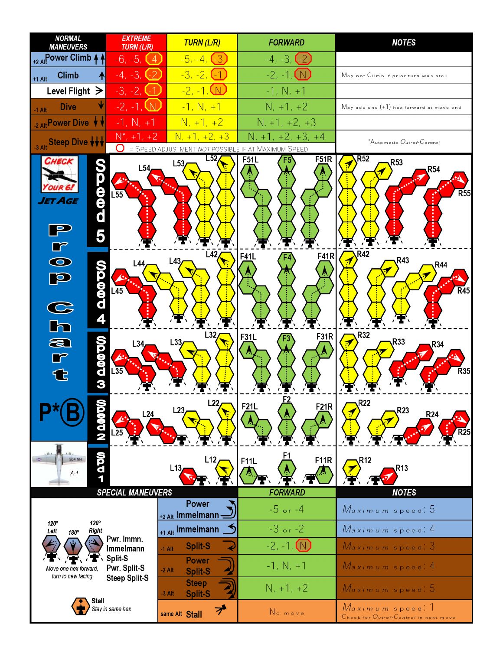| <b>NORMAL</b><br><b>MANEUVERS</b>                     | <b>EXTREME</b><br><b>TURN (L/R)</b>  | <b>TURN (L/R)</b>                          | <b>FORWARD</b>                                          | <b>NOTES</b>                                              |  |  |  |  |  |
|-------------------------------------------------------|--------------------------------------|--------------------------------------------|---------------------------------------------------------|-----------------------------------------------------------|--|--|--|--|--|
| +2 Alt Power Climb                                    | $-6, -5, (-4)$                       | $-5, -4, (-3)$                             | $-4, -3, (-2)$                                          |                                                           |  |  |  |  |  |
| <b>Climb</b><br>₳<br>$+1$ Alt                         | $-4, -3, -2$                         | $-3, -2, -1$                               | $-2, -1, 1$                                             | May not Climb if prior turn was stall                     |  |  |  |  |  |
| Level Flight $\geq$                                   | -3, -2, I                            | $-2, -1, \Box$                             | $-1, N, +1$                                             |                                                           |  |  |  |  |  |
| <b>Dive</b><br>$-1$ Alt                               | $-2, -1, \underline{W}$              | $-1, N, +1$                                | $N, +1, +2$                                             | $M$ ay add one $(+1)$ hex forward at move end             |  |  |  |  |  |
| 2 Alt Power Dive                                      | $-1, N, +1$                          | $N, +1, +2$                                | $N, +1, +2, +3$                                         |                                                           |  |  |  |  |  |
| -3 Alt Steep Dive VVV                                 | $N^*$ , +1, +2                       | $N, +1, +2, +3$                            | $N, +1, +2, +3, +4$                                     | *Automatic Out-of-Control                                 |  |  |  |  |  |
|                                                       | Ő                                    | = SPEED ADJUSTMENT<br>L52                  | NOT POSSIBLE IF AT MAXIMUM SPEED<br><b>F51R</b><br>F51L | R52                                                       |  |  |  |  |  |
| edd<br>ET AGE<br>5                                    | L54<br>$L\overline{55}$              | L53                                        |                                                         | R <sub>53</sub><br>R54<br>$\overline{R}55$                |  |  |  |  |  |
| $\overline{6}$<br><b>UDQ@QQ</b><br>P<br>$\frac{1}{2}$ | -44<br>$L\overline{45}$              | L42<br>L43                                 | F <sub>41</sub> R<br>F41L                               | R42<br>R43<br>R44<br>$\overline{R}45$                     |  |  |  |  |  |
| a<br>r<br>က္တစ္စစ္စာတ<br>€                            | L34<br>$L\overline{35}$              | L32<br>L33                                 | <b>F31R</b><br>F31L                                     | R32<br>R33<br>R34<br><b>R35</b>                           |  |  |  |  |  |
| <b>1000 CM</b>                                        | L24                                  | L22<br>L23                                 | F21L<br><b>F21R</b>                                     | R22<br>R <sub>23</sub><br><b>R24</b>                      |  |  |  |  |  |
| <b>QQQ</b><br><b>504 NH</b><br>A-1                    | <b>SPECIAL MANEUVERS</b>             | L12<br>L13                                 | <b>F11R</b><br>F11L<br><b>FORWARD</b>                   | R12<br>R13<br><b>NOTES</b>                                |  |  |  |  |  |
|                                                       |                                      | <b>Power</b>                               | $-5$ or $-4$                                            |                                                           |  |  |  |  |  |
| $120^\circ$<br>$120^\circ$                            |                                      | +2 Alt Immelmann -                         |                                                         | Maximum speed: 5                                          |  |  |  |  |  |
| <b>Right</b><br>Left<br>180°                          | Pwr. Immn.                           | +1 Alt Immelmann                           | $-3$ or $-2$                                            | Maximum speed: 4                                          |  |  |  |  |  |
|                                                       | Immelmann<br>Split-S<br>Pwr. Split-S | <b>Split-S</b><br>$-1$ Alt                 | $-2, -1, (N)$                                           | Maximum speed: 3                                          |  |  |  |  |  |
| Move one hex forward,                                 |                                      | <b>Power</b><br>$-2$ Alt<br><b>Split-S</b> | $-1, N, +1$                                             | $M$ aximum speed: 4                                       |  |  |  |  |  |
| turn to new facing                                    | <b>Steep Split-S</b>                 | <b>Steep</b><br><b>Split-S</b><br>$-3$ Alt | $N, +1, +2$                                             | Maximum speed: 5                                          |  |  |  |  |  |
| Stall                                                 | Stay in same hex                     | ブ<br>same Alt Stall                        | No move                                                 | Maximum speed. 1<br>Check for Out-of-Control in next move |  |  |  |  |  |